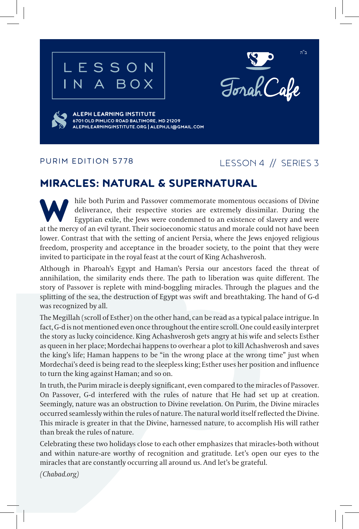





**ALEPH LEARNING INSTITUTE 6701 OLD PIMLICO ROAD BALTIMORE, MD 21209 ALEPHLEARNINGINSTITUTE.ORG | ALEPHJLI@GMAIL.COM**

#### PURIM EDITION 5778

## LESSON 4 // SERIES 3

## MIRACLES: NATURAL & SUPERNATURAL

hile both Purim and Passover commemorate momentous occasions of Divine<br>deliverance, their respective stories are extremely dissimilar. During the<br>Egyptian exile, the Jews were condemned to an existence of slavery and were<br> deliverance, their respective stories are extremely dissimilar. During the Egyptian exile, the Jews were condemned to an existence of slavery and were at the mercy of an evil tyrant. Their socioeconomic status and morale could not have been lower. Contrast that with the setting of ancient Persia, where the Jews enjoyed religious freedom, prosperity and acceptance in the broader society, to the point that they were invited to participate in the royal feast at the court of King Achashverosh.

Although in Pharoah's Egypt and Haman's Persia our ancestors faced the threat of annihilation, the similarity ends there. The path to liberation was quite different. The story of Passover is replete with mind-boggling miracles. Through the plagues and the splitting of the sea, the destruction of Egypt was swift and breathtaking. The hand of G-d was recognized by all.

The Megillah (scroll of Esther) on the other hand, can be read as a typical palace intrigue. In fact, G-d is not mentioned even once throughout the entire scroll. One could easily interpret the story as lucky coincidence. King Achashverosh gets angry at his wife and selects Esther as queen in her place; Mordechai happens to overhear a plot to kill Achashverosh and saves the king's life; Haman happens to be "in the wrong place at the wrong time" just when Mordechai's deed is being read to the sleepless king; Esther uses her position and influence to turn the king against Haman; and so on.

In truth, the Purim miracle is deeply significant, even compared to the miracles of Passover. On Passover, G-d interfered with the rules of nature that He had set up at creation. Seemingly, nature was an obstruction to Divine revelation. On Purim, the Divine miracles occurred seamlessly within the rules of nature. The natural world itself reflected the Divine. This miracle is greater in that the Divine, harnessed nature, to accomplish His will rather than break the rules of nature.

Celebrating these two holidays close to each other emphasizes that miracles-both without and within nature-are worthy of recognition and gratitude. Let's open our eyes to the miracles that are constantly occurring all around us. And let's be grateful.

*(Chabad.org)*